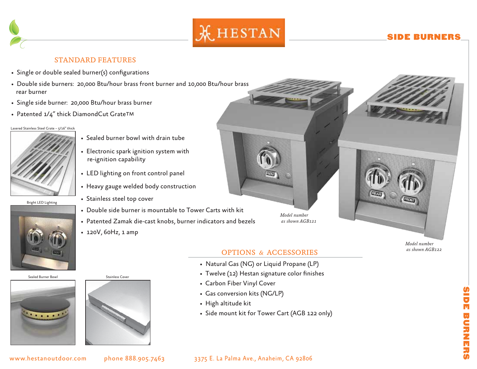

# SIDE BURNERS

## STANDARD FEATURES

- Single or double sealed burner(s) configurations
- Double side burners: 20,000 Btu/hour brass front burner and 10,000 Btu/hour brass rear burner
- Single side burner: 20,000 Btu/hour brass burner
- Patented 1/4" thick DiamondCut Grate™

#### Lasered Stainless Steel Grate – 5/16" thick



Bright LED Lighting

- Sealed burner bowl with drain tube
- Electronic spark ignition system with re-ignition capability
- LED lighting on front control panel
- Heavy gauge welded body construction
- Stainless steel top cover
- Double side burner is mountable to Tower Carts with kit
- Patented Zamak die-cast knobs, burner indicators and bezels
- 120V, 60Hz, 1 amp

*Model number as shown AGB121*





### OPTIONS & ACCESSORIES

- Natural Gas (NG) or Liquid Propane (LP)
- Twelve (12) Hestan signature color finishes
- Carbon Fiber Vinyl Cover
- Gas conversion kits (NG/LP)
- High altitude kit
- Side mount kit for Tower Cart (AGB 122 only)

*Model number as shown AGB122*

### www.hestanoutdoor.com phone 888.905.7463 3375 E. La Palma Ave., Anaheim, CA 92806